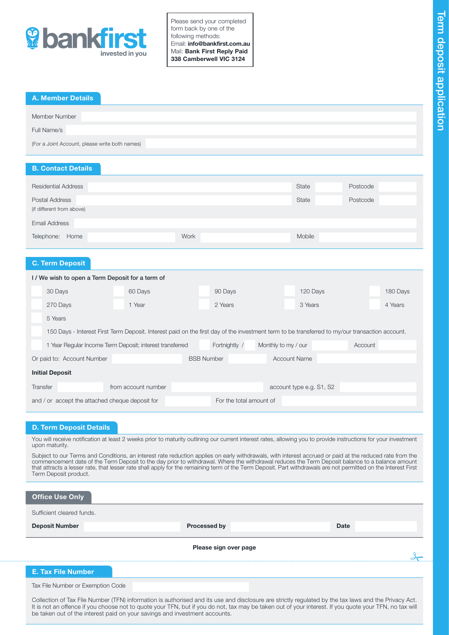

Please send your completed form back by one of the following methods: Email: info@bankfirst.com.au Mail: Bank First Reply Paid 338 Camberwell VIC 3124

|  | <b>A. Member Details</b> |  |
|--|--------------------------|--|
|  |                          |  |

| Member Number                                  |  |
|------------------------------------------------|--|
| Full Name/s                                    |  |
| (For a Joint Account, please write both names) |  |
|                                                |  |

# B. Contact Details

| <b>Residential Address</b> |      | State  | Postcode |
|----------------------------|------|--------|----------|
| Postal Address             |      | State  | Postcode |
| (if different from above)  |      |        |          |
| <b>Email Address</b>       |      |        |          |
| Telephone: Home            | Work | Mobile |          |

## C. Term Deposit

| <b>C. Term Deposit</b>                                                                                      |                                                                                                                                                |                     |                   |         |                     |                          |  |          |
|-------------------------------------------------------------------------------------------------------------|------------------------------------------------------------------------------------------------------------------------------------------------|---------------------|-------------------|---------|---------------------|--------------------------|--|----------|
|                                                                                                             | I/We wish to open a Term Deposit for a term of                                                                                                 |                     |                   |         |                     |                          |  |          |
|                                                                                                             | 30 Days                                                                                                                                        | 60 Days             |                   | 90 Days |                     | 120 Days                 |  | 180 Days |
|                                                                                                             | 270 Days                                                                                                                                       | 1 Year              |                   | 2 Years |                     | 3 Years                  |  | 4 Years  |
|                                                                                                             | 5 Years                                                                                                                                        |                     |                   |         |                     |                          |  |          |
|                                                                                                             | 150 Days - Interest First Term Deposit. Interest paid on the first day of the investment term to be transferred to my/our transaction account. |                     |                   |         |                     |                          |  |          |
| Fortnightly /<br>1 Year Regular Income Term Deposit; interest transferred<br>Monthly to my / our<br>Account |                                                                                                                                                |                     |                   |         |                     |                          |  |          |
| Or paid to: Account Number                                                                                  |                                                                                                                                                |                     | <b>BSB Number</b> |         | <b>Account Name</b> |                          |  |          |
| <b>Initial Deposit</b>                                                                                      |                                                                                                                                                |                     |                   |         |                     |                          |  |          |
|                                                                                                             | Transfer                                                                                                                                       | from account number |                   |         |                     | account type e.g. S1, S2 |  |          |
|                                                                                                             | and / or accept the attached cheque deposit for<br>For the total amount of                                                                     |                     |                   |         |                     |                          |  |          |

# D. Term Deposit Details

You will receive notification at least 2 weeks prior to maturity outlining our current interest rates, allowing you to provide instructions for your investment upon maturity.

Subject to our Terms and Conditions, an interest rate reduction applies on early withdrawals, with interest accrued or paid at the reduced rate from the commencement date of the Term Deposit to the day prior to withdrawal. Where the withdrawal reduces the Term Deposit balance to a balance amount that attracts a lesser rate, that lesser rate shall apply for the remaining term of the Term Deposit. Part withdrawals are not permitted on the Interest First Term Deposit product.

| <b>Office Use Only</b>            |              |             |  |  |  |  |
|-----------------------------------|--------------|-------------|--|--|--|--|
| Sufficient cleared funds.         |              |             |  |  |  |  |
| <b>Deposit Number</b>             | Processed by | <b>Date</b> |  |  |  |  |
| Please sign over page             |              |             |  |  |  |  |
| <b>E. Tax File Number</b>         |              |             |  |  |  |  |
| Tax File Number or Exemption Code |              |             |  |  |  |  |

Collection of Tax File Number (TFN) information is authorised and its use and disclosure are strictly regulated by the tax laws and the Privacy Act. It is not an offence if you choose not to quote your TFN, but if you do not, tax may be taken out of your interest. If you quote your TFN, no tax will be taken out of the interest paid on your savings and investment accounts.